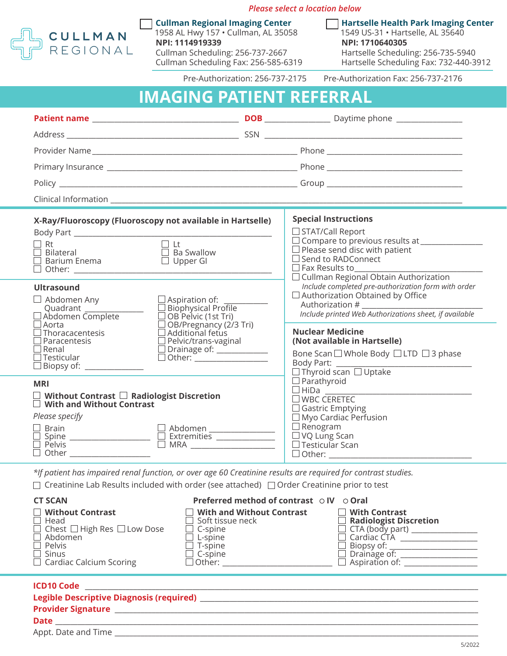

*Please select a location below*

**Cullman Regional Imaging Center** 1958 AL Hwy 157 • Cullman, AL 35058 **NPI: 1114919339** Cullman Scheduling: 256-737-2667 Cullman Scheduling Fax: 256-585-6319 **Hartselle Health Park Imaging Center** 1549 US-31 • Hartselle, AL 35640 **NPI: 1710640305** Hartselle Scheduling: 256-735-5940 Hartselle Scheduling Fax: 732-440-3912

Pre-Authorization: 256-737-2175 Pre-Authorization Fax: 256-737-2176

| <b>IMAGING PATIENT REFERRAL</b> |  |  |
|---------------------------------|--|--|
|                                 |  |  |
|                                 |  |  |
|                                 |  |  |

| X-Ray/Fluoroscopy (Fluoroscopy not available in Hartselle)<br>$\Box$ Lt<br>$\Box$ Rt<br>$\Box$ Bilateral<br>$\Box$ Ba Swallow<br>Upper GI<br>$\square$ Barium Enema                                                                                                                                                                                                                                                                                                                                            |  | <b>Special Instructions</b><br>$\Box$ STAT/Call Report<br>$\Box$ Please send disc with patient<br>$\Box$ Send to RADConnect<br>$\square$ Fax Results to<br>$\Box$ Cullman Regional Obtain Authorization                                                                                                                                   |  |  |
|----------------------------------------------------------------------------------------------------------------------------------------------------------------------------------------------------------------------------------------------------------------------------------------------------------------------------------------------------------------------------------------------------------------------------------------------------------------------------------------------------------------|--|-------------------------------------------------------------------------------------------------------------------------------------------------------------------------------------------------------------------------------------------------------------------------------------------------------------------------------------------|--|--|
| <b>Ultrasound</b><br>$\Box$ Abdomen Any<br>$\Box$ Aspiration of:<br>$\Box$ Biophysical Profile<br>Quadrant $\Box$ Abdomen Complete<br>$\Box$ OB Pelvic (1st Tri)<br>$\square$ Aorta<br>□ OB/Pregnancy (2/3 Tri)<br>□ Additional fetus<br>$\Box$ Thoracacentesis<br>$\Box$ Pelvic/trans-vaginal<br>$\Box$ Paracentesis<br>$\Box$ Drainage of: $\_\_$<br>$\Box$ Renal<br>$\Box$ Other: $\frac{1}{\Box}$ Other: $\frac{1}{\Box}$ Other: $\frac{1}{\Box}$<br>$\Box$ Testicular<br>$\Box$ Biopsy of: ______________ |  | Include completed pre-authorization form with order<br>$\Box$ Authorization Obtained by Office<br>Authorization #<br>Include printed Web Authorizations sheet, if available<br><b>Nuclear Medicine</b><br>(Not available in Hartselle)<br>Bone Scan □ Whole Body □ LTD □ 3 phase<br>Body Part: _____<br>$\Box$ Thyroid scan $\Box$ Uptake |  |  |
| <b>MRI</b><br>$\Box$ Without Contrast $\Box$ Radiologist Discretion<br>$\Box$ With and Without Contrast<br>Please specify<br>□ Brain<br>□ Spine<br>□ Pelvis ─────────────── □ Abdomen <u>───────</u><br>□ MRA <u>─────────</u><br>$\Box$ Other $\Box$<br>$\mathcal{A}$ and $\mathcal{A}$ and $\mathcal{A}$ are the set of $\mathcal{A}$ and $\mathcal{A}$ are the set of $\mathcal{A}$                                                                                                                         |  | $\Box$ Parathyroid<br>$\square$ WBC CERETEC<br>$\Box$ Gastric Emptying<br>$\Box$ Myo Cardiac Perfusion<br>$\Box$ Renogram<br>$\Box$ VQ Lung Scan<br>$\Box$ Testicular Scan<br>$\mathbf{r}$ and $\mathbf{r}$ and $\mathbf{r}$ and $\mathbf{r}$ and $\mathbf{r}$                                                                            |  |  |

*\*If patient has impaired renal function, or over age 60 Creatinine results are required for contrast studies.*

 $\Box$  Creatinine Lab Results included with order (see attached)  $\Box$  Order Creatinine prior to test

| <b>CT SCAN</b>                               | Preferred method of contrast ⊙ IV ⊙ Oral |                               |
|----------------------------------------------|------------------------------------------|-------------------------------|
| $\Box$ Without Contrast                      | $\Box$ With and Without Contrast         | $\Box$ With Contrast          |
| $\Box$ Head                                  | $\Box$ Soft tissue neck                  | $\Box$ Radiologist Discretion |
| $\Box$ Chest $\Box$ High Res $\Box$ Low Dose | $\Box$ C-spine                           | $\Box$ CTA (body part) $\Box$ |
| $\Box$ Abdomen                               | $\Box$ L-spine                           | $\Box$ Cardiac CTA            |
| $\Box$ Pelvis                                | $\Box$ T-spine                           | $\Box$ Biopsy of: $\Box$      |
| $\Box$ Sinus                                 | $\Box$ C-spine                           | $\Box$ Drainage of:           |
| $\Box$ Cardiac Calcium Scoring               | $\Box$ Other:                            | $\Box$ Aspiration of:         |

| <b>ICD10 Code</b>   |  |
|---------------------|--|
|                     |  |
|                     |  |
| Date                |  |
| Appt. Date and Time |  |